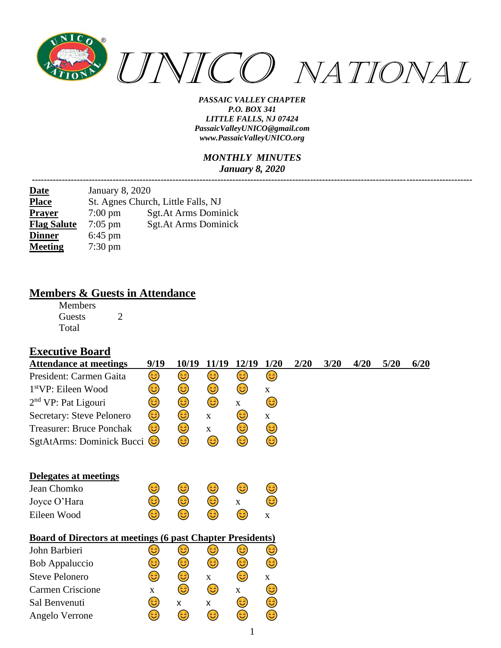

#### *MONTHLY MINUTES January 8, 2020*

*---------------------------------------------------------------------------------------------------------------------------------------------------*

| <b>Date</b>        | <b>January 8, 2020</b> |                                    |
|--------------------|------------------------|------------------------------------|
| <b>Place</b>       |                        | St. Agnes Church, Little Falls, NJ |
| <b>Prayer</b>      | $7:00 \text{ pm}$      | <b>Sgt.At Arms Dominick</b>        |
| <b>Flag Salute</b> | $7:05$ pm              | <b>Sgt.At Arms Dominick</b>        |
| <b>Dinner</b>      | $6:45$ pm              |                                    |
| <b>Meeting</b>     | $7:30 \text{ pm}$      |                                    |

### **Members & Guests in Attendance**

Members Guests 2 Total

### **Executive Board**

| <b>Attendance at meetings</b>                                     | 9/19        | 10/19        | 11/19       | 12/19       | 1/20        | 2/20 | 3/20 | 4/20 | 5/20 | 6/20 |
|-------------------------------------------------------------------|-------------|--------------|-------------|-------------|-------------|------|------|------|------|------|
| President: Carmen Gaita                                           | 3)          | 3)           | 3)          | 3)          | 3)          |      |      |      |      |      |
| 1 <sup>st</sup> VP: Eileen Wood                                   | 3)          | 3)           | 3)          | 3)          | X           |      |      |      |      |      |
| $2nd$ VP: Pat Ligouri                                             | 3           | ٢            | ٢           | $\mathbf X$ | 3)          |      |      |      |      |      |
| Secretary: Steve Pelonero                                         | 3           | ٢            | $\mathbf X$ | 3)          | $\mathbf X$ |      |      |      |      |      |
| <b>Treasurer: Bruce Ponchak</b>                                   | 3)          | ٢            | $\mathbf X$ | 3)          | 3)          |      |      |      |      |      |
| SgtAtArms: Dominick Bucci                                         | (3          | ٢            | ٤           | ٢           | 3           |      |      |      |      |      |
| Delegates at meetings                                             |             |              |             |             |             |      |      |      |      |      |
| Jean Chomko                                                       | 3           | 3)           | 3)          | 3)          | 3           |      |      |      |      |      |
| Joyce O'Hara                                                      | 3)          | ٢            | ٢           | $\mathbf X$ | 3           |      |      |      |      |      |
| Eileen Wood                                                       | ಡಿ          | 3)           | 3           | 3           | $\mathbf X$ |      |      |      |      |      |
| <b>Board of Directors at meetings (6 past Chapter Presidents)</b> |             |              |             |             |             |      |      |      |      |      |
| John Barbieri                                                     | ಟ           | ٢            | 3)          | 3)          | ತಿ          |      |      |      |      |      |
| <b>Bob Appaluccio</b>                                             | 3)          | 3)           | ٢           | 3           | 3           |      |      |      |      |      |
| <b>Steve Pelonero</b>                                             | 3)          | 3)           | $\mathbf X$ | 3)          | X           |      |      |      |      |      |
| Carmen Criscione                                                  | $\mathbf X$ | ٢            | ٢           | $\mathbf X$ | 3           |      |      |      |      |      |
| Sal Benvenuti                                                     | 3           | $\mathsf{x}$ | X           | 3)          | ٢           |      |      |      |      |      |
| Angelo Verrone                                                    | 3           | ٢            | 3           | 3           | 3           |      |      |      |      |      |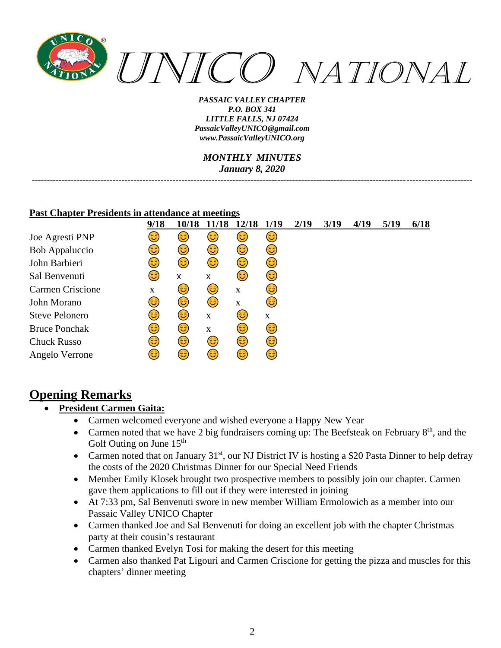

*MONTHLY MINUTES January 8, 2020*

*---------------------------------------------------------------------------------------------------------------------------------------------------*

#### **Past Chapter Presidents in attendance at meetings**

|                       | 9/18        | 10/18 |             |             | 1/19 | 2/19 | 3/19 | 4/19 | 5/19 | 6/18 |
|-----------------------|-------------|-------|-------------|-------------|------|------|------|------|------|------|
| Joe Agresti PNP       | 3           | ٢     | 3           | 3           | 3    |      |      |      |      |      |
| Bob Appaluccio        | 3)          | 3     | 3           | 3)          | 63)  |      |      |      |      |      |
| John Barbieri         | (ಚಿ         | 3     | 3           | 3           | 3    |      |      |      |      |      |
| Sal Benvenuti         | ದಿ          | X     | x           | <u>(ಚಿ</u>  | 63)  |      |      |      |      |      |
| Carmen Criscione      | $\mathbf X$ | 3     | 3           | $\mathbf X$ | 3    |      |      |      |      |      |
| John Morano           | 3           | 3     | 6           | $\mathbf X$ | 3    |      |      |      |      |      |
| <b>Steve Pelonero</b> | 3           | 6     | X           | ಡಿ          | X    |      |      |      |      |      |
| <b>Bruce Ponchak</b>  | 3           | 3     | $\mathbf X$ | (ಚಿ         | 6    |      |      |      |      |      |
| <b>Chuck Russo</b>    | ಡಿ          | 3     | 3           | 3           | 3    |      |      |      |      |      |
| Angelo Verrone        | ಡಿ          | 3     | 3           | 3           | 3    |      |      |      |      |      |

# **Opening Remarks**

- **President Carmen Gaita:**
	- Carmen welcomed everyone and wished everyone a Happy New Year
	- Carmen noted that we have 2 big fundraisers coming up: The Beefsteak on February  $8<sup>th</sup>$ , and the Golf Outing on June  $15<sup>th</sup>$
	- Carmen noted that on January  $31<sup>st</sup>$ , our NJ District IV is hosting a \$20 Pasta Dinner to help defray the costs of the 2020 Christmas Dinner for our Special Need Friends
	- Member Emily Klosek brought two prospective members to possibly join our chapter. Carmen gave them applications to fill out if they were interested in joining
	- At 7:33 pm, Sal Benvenuti swore in new member William Ermolowich as a member into our Passaic Valley UNICO Chapter
	- Carmen thanked Joe and Sal Benvenuti for doing an excellent job with the chapter Christmas party at their cousin's restaurant
	- Carmen thanked Evelyn Tosi for making the desert for this meeting
	- Carmen also thanked Pat Ligouri and Carmen Criscione for getting the pizza and muscles for this chapters' dinner meeting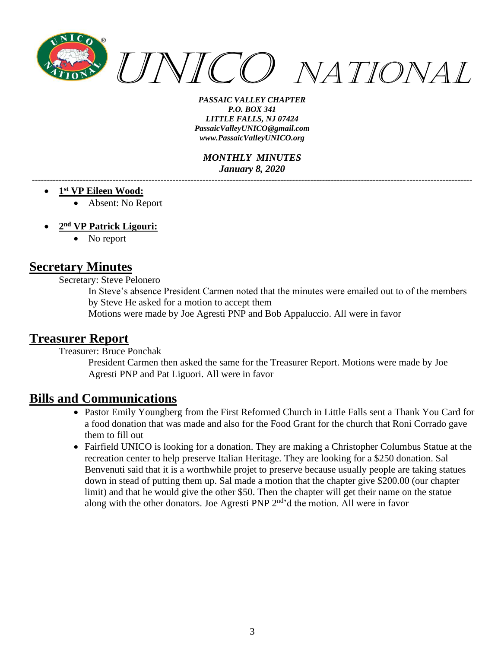

*MONTHLY MINUTES January 8, 2020*

- **1 st VP Eileen Wood:**
	- Absent: No Report
- **2 nd VP Patrick Ligouri:**
	- No report

### **Secretary Minutes**

Secretary: Steve Pelonero

In Steve's absence President Carmen noted that the minutes were emailed out to of the members by Steve He asked for a motion to accept them

*---------------------------------------------------------------------------------------------------------------------------------------------------*

Motions were made by Joe Agresti PNP and Bob Appaluccio. All were in favor

### **Treasurer Report**

Treasurer: Bruce Ponchak

President Carmen then asked the same for the Treasurer Report. Motions were made by Joe Agresti PNP and Pat Liguori. All were in favor

### **Bills and Communications**

- Pastor Emily Youngberg from the First Reformed Church in Little Falls sent a Thank You Card for a food donation that was made and also for the Food Grant for the church that Roni Corrado gave them to fill out
- Fairfield UNICO is looking for a donation. They are making a Christopher Columbus Statue at the recreation center to help preserve Italian Heritage. They are looking for a \$250 donation. Sal Benvenuti said that it is a worthwhile projet to preserve because usually people are taking statues down in stead of putting them up. Sal made a motion that the chapter give \$200.00 (our chapter limit) and that he would give the other \$50. Then the chapter will get their name on the statue along with the other donators. Joe Agresti PNP 2<sup>nd</sup>'d the motion. All were in favor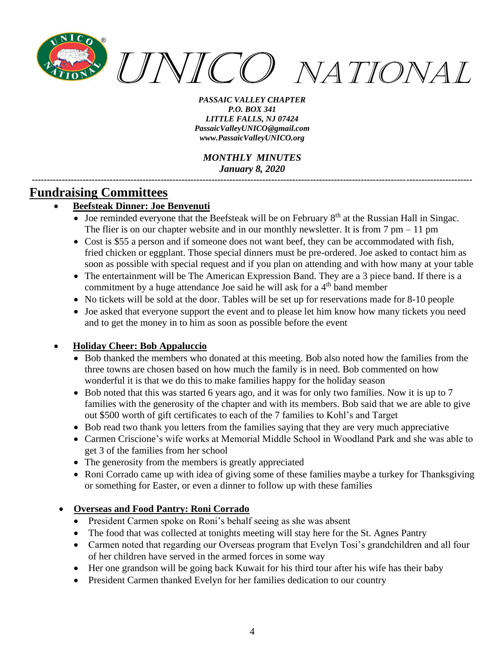

*MONTHLY MINUTES January 8, 2020*

*---------------------------------------------------------------------------------------------------------------------------------------------------*

# **Fundraising Committees**

### • **Beefsteak Dinner: Joe Benvenuti**

- Joe reminded everyone that the Beefsteak will be on February  $8<sup>th</sup>$  at the Russian Hall in Singac. The flier is on our chapter website and in our monthly newsletter. It is from  $7 \text{ pm} - 11 \text{ pm}$
- Cost is \$55 a person and if someone does not want beef, they can be accommodated with fish, fried chicken or eggplant. Those special dinners must be pre-ordered. Joe asked to contact him as soon as possible with special request and if you plan on attending and with how many at your table
- The entertainment will be The American Expression Band. They are a 3 piece band. If there is a commitment by a huge attendance Joe said he will ask for a 4<sup>th</sup> band member
- No tickets will be sold at the door. Tables will be set up for reservations made for 8-10 people
- Joe asked that everyone support the event and to please let him know how many tickets you need and to get the money in to him as soon as possible before the event

### • **Holiday Cheer: Bob Appaluccio**

- Bob thanked the members who donated at this meeting. Bob also noted how the families from the three towns are chosen based on how much the family is in need. Bob commented on how wonderful it is that we do this to make families happy for the holiday season
- Bob noted that this was started 6 years ago, and it was for only two families. Now it is up to 7 families with the generosity of the chapter and with its members. Bob said that we are able to give out \$500 worth of gift certificates to each of the 7 families to Kohl's and Target
- Bob read two thank you letters from the families saying that they are very much appreciative
- Carmen Criscione's wife works at Memorial Middle School in Woodland Park and she was able to get 3 of the families from her school
- The generosity from the members is greatly appreciated
- Roni Corrado came up with idea of giving some of these families maybe a turkey for Thanksgiving or something for Easter, or even a dinner to follow up with these families

### • **Overseas and Food Pantry: Roni Corrado**

- President Carmen spoke on Roni's behalf seeing as she was absent
- The food that was collected at tonights meeting will stay here for the St. Agnes Pantry
- Carmen noted that regarding our Overseas program that Evelyn Tosi's grandchildren and all four of her children have served in the armed forces in some way
- Her one grandson will be going back Kuwait for his third tour after his wife has their baby
- President Carmen thanked Evelyn for her families dedication to our country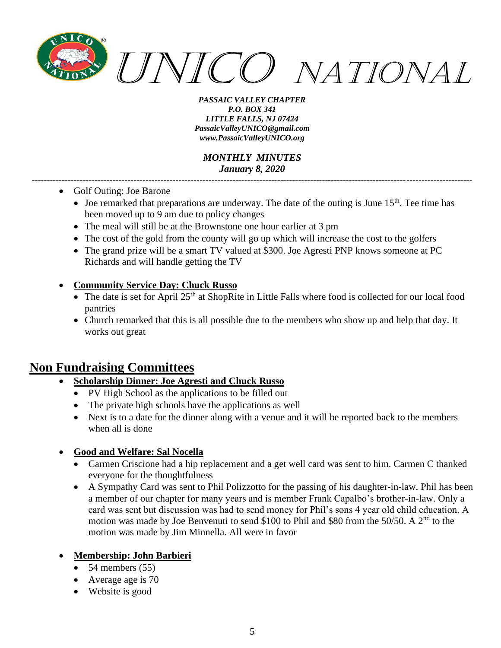

*MONTHLY MINUTES January 8, 2020*

*---------------------------------------------------------------------------------------------------------------------------------------------------*

- Golf Outing: Joe Barone
	- Joe remarked that preparations are underway. The date of the outing is June  $15<sup>th</sup>$ . Tee time has been moved up to 9 am due to policy changes
	- The meal will still be at the Brownstone one hour earlier at 3 pm
	- The cost of the gold from the county will go up which will increase the cost to the golfers
	- The grand prize will be a smart TV valued at \$300. Joe Agresti PNP knows someone at PC Richards and will handle getting the TV

#### • **Community Service Day: Chuck Russo**

- $\bullet$  The date is set for April 25<sup>th</sup> at ShopRite in Little Falls where food is collected for our local food pantries
- Church remarked that this is all possible due to the members who show up and help that day. It works out great

# **Non Fundraising Committees**

- **Scholarship Dinner: Joe Agresti and Chuck Russo**
	- PV High School as the applications to be filled out
	- The private high schools have the applications as well
	- Next is to a date for the dinner along with a venue and it will be reported back to the members when all is done

#### • **Good and Welfare: Sal Nocella**

- Carmen Criscione had a hip replacement and a get well card was sent to him. Carmen C thanked everyone for the thoughtfulness
- A Sympathy Card was sent to Phil Polizzotto for the passing of his daughter-in-law. Phil has been a member of our chapter for many years and is member Frank Capalbo's brother-in-law. Only a card was sent but discussion was had to send money for Phil's sons 4 year old child education. A motion was made by Joe Benvenuti to send \$100 to Phil and \$80 from the 50/50. A 2nd to the motion was made by Jim Minnella. All were in favor

### • **Membership: John Barbieri**

- $\bullet$  54 members (55)
- Average age is 70
- Website is good